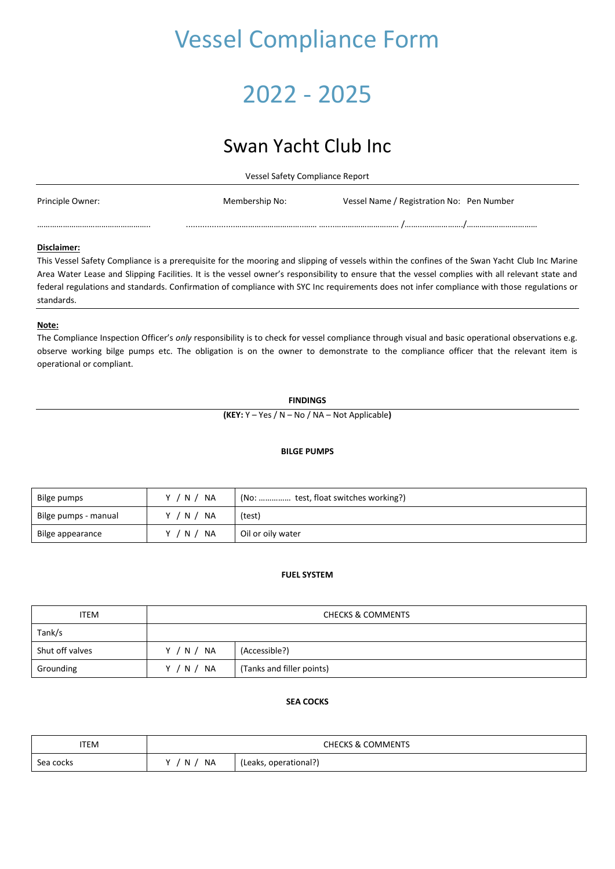# Vessel Compliance Form

## 2022 - 2025

## Swan Yacht Club Inc

Vessel Safety Compliance Report

| Principle Owner: | Membership No: | Vessel Name / Registration No: Pen Number |  |
|------------------|----------------|-------------------------------------------|--|
|                  |                |                                           |  |

#### **Disclaimer:**

This Vessel Safety Compliance is a prerequisite for the mooring and slipping of vessels within the confines of the Swan Yacht Club Inc Marine Area Water Lease and Slipping Facilities. It is the vessel owner's responsibility to ensure that the vessel complies with all relevant state and federal regulations and standards. Confirmation of compliance with SYC Inc requirements does not infer compliance with those regulations or standards.

#### **Note:**

The Compliance Inspection Officer's *only* responsibility is to check for vessel compliance through visual and basic operational observations e.g. observe working bilge pumps etc. The obligation is on the owner to demonstrate to the compliance officer that the relevant item is operational or compliant.

#### **FINDINGS**

**(KEY:** Y – Yes / N – No / NA – Not Applicable**)**

#### **BILGE PUMPS**

| Bilge pumps          | N<br>NA<br>v    | (No:  test, float switches working?) |
|----------------------|-----------------|--------------------------------------|
| Bilge pumps - manual | N.<br><b>NA</b> | (test)                               |
| Bilge appearance     | N.<br>NA        | Oil or oily water                    |

#### **FUEL SYSTEM**

| <b>ITEM</b>     | <b>CHECKS &amp; COMMENTS</b> |                           |  |
|-----------------|------------------------------|---------------------------|--|
| Tank/s          |                              |                           |  |
| Shut off valves | Y / N / NA                   | (Accessible?)             |  |
| Grounding       | Y / N / NA                   | (Tanks and filler points) |  |

#### **SEA COCKS**

| <b>ITEM</b> | <b>CHECKS &amp; COMMENTS</b> |                       |  |
|-------------|------------------------------|-----------------------|--|
| Sea cocks   | NA<br>$\mathbf{v}$<br>N.     | (Leaks, operational?) |  |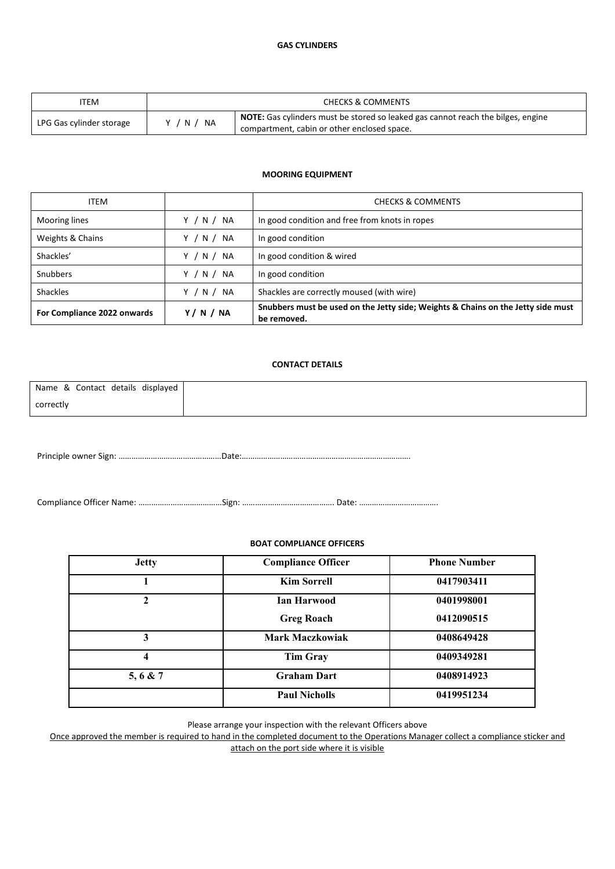| TEM                      | <b>CHECKS &amp; COMMENTS</b> |                                                                                                                                        |  |
|--------------------------|------------------------------|----------------------------------------------------------------------------------------------------------------------------------------|--|
| LPG Gas cylinder storage | NA<br>N                      | <b>NOTE:</b> Gas cylinders must be stored so leaked gas cannot reach the bilges, engine<br>compartment, cabin or other enclosed space. |  |

#### **MOORING EQUIPMENT**

| <b>ITEM</b>                 |            | <b>CHECKS &amp; COMMENTS</b>                                                                    |
|-----------------------------|------------|-------------------------------------------------------------------------------------------------|
| <b>Mooring lines</b>        | Y / N / NA | In good condition and free from knots in ropes                                                  |
| Weights & Chains            | Y / N / NA | In good condition                                                                               |
| Shackles'                   | Y / N / NA | In good condition & wired                                                                       |
| <b>Snubbers</b>             | Y / N / NA | In good condition                                                                               |
| <b>Shackles</b>             | Y / N / NA | Shackles are correctly moused (with wire)                                                       |
| For Compliance 2022 onwards | Y/N/NA     | Snubbers must be used on the Jetty side; Weights & Chains on the Jetty side must<br>be removed. |

#### **CONTACT DETAILS**

| Name & Contact details displayed |  |
|----------------------------------|--|
| correctly                        |  |

Principle owner Sign: …………………………………………Date:…………………………………………………………………….

Compliance Officer Name: …………………………………Sign: ……………………………………. Date: ……………………………….

#### **BOAT COMPLIANCE OFFICERS**

| <b>Jetty</b> | <b>Compliance Officer</b> | <b>Phone Number</b> |
|--------------|---------------------------|---------------------|
|              | <b>Kim Sorrell</b>        | 0417903411          |
|              | Ian Harwood               | 0401998001          |
|              | <b>Greg Roach</b>         | 0412090515          |
| 3            | <b>Mark Maczkowiak</b>    | 0408649428          |
| 4            | <b>Tim Gray</b>           | 0409349281          |
| 5, 6 & 7     | <b>Graham Dart</b>        | 0408914923          |
|              | <b>Paul Nicholls</b>      | 0419951234          |

Please arrange your inspection with the relevant Officers above

Once approved the member is required to hand in the completed document to the Operations Manager collect a compliance sticker and attach on the port side where it is visible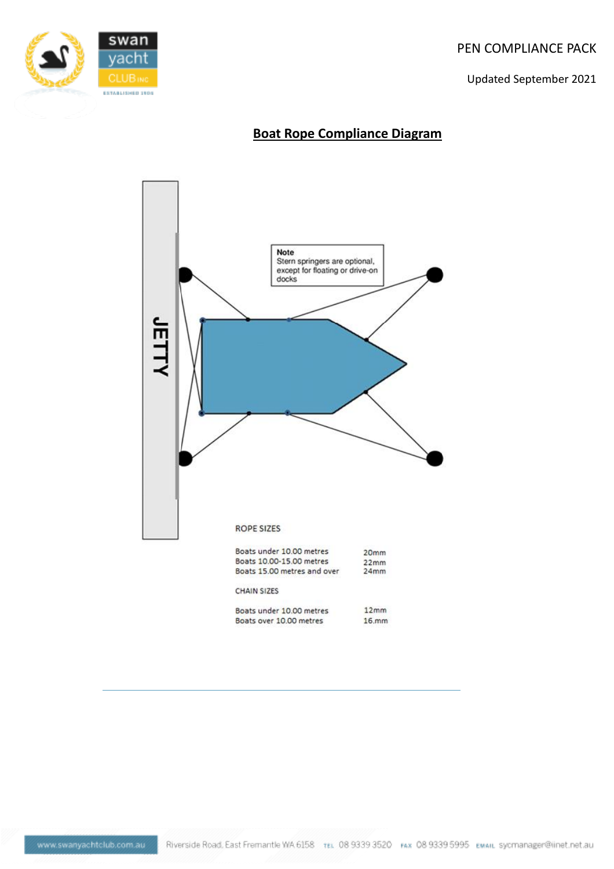PEN COMPLIANCE PACK

Updated September 2021



### **Boat Rope Compliance Diagram**